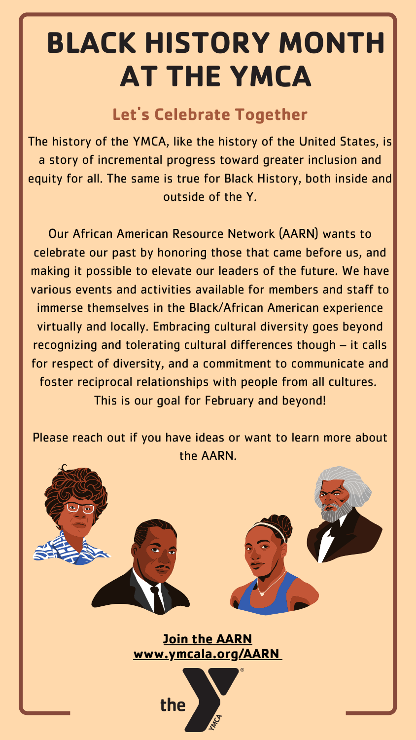The history of the YMCA, like the history of the United States, is a story of incremental progress toward greater inclusion and equity for all. The same is true for Black History, both inside and outside of the Y.

Our African American Resource Network (AARN) wants to celebrate our past by honoring those that came before us, and making it possible to elevate our leaders of the future. We have various events and activities available for members and staff to immerse themselves in the Black/African American experience virtually and locally. Embracing cultural diversity goes beyond recognizing and tolerating cultural differences though – it calls for respect of diversity, and a commitment to communicate and foster reciprocal relationships with people from all cultures. This is our goal for February and beyond!

Please reach out if you have ideas or want to learn more about the AARN.



#### **Let' s Celebrate Together**

# **BLACK HISTORY MONTH AT THE YMCA**

#### **Join the [AARN](http://www.ymcala.org/aAARN) [www.ymcala.org/AARN](http://www.ymcala.org/aAARN)**

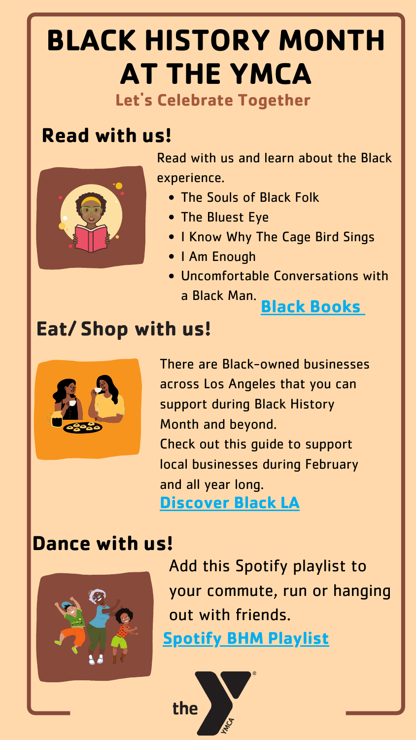## **Let' s Celebrate Together BLACK HISTORY MONTH AT THE YMCA**

### **Read with us!**



#### **Dance with us!**



#### **Eat/ Shop with us!**



Read with us and learn about the Black experience.

- The Souls of Black Folk
- The Bluest Eye
- I Know Why The Cage Bird Sings
- I Am Enough
- Uncomfortable Conversations with a Black Man. **Black [Books](https://a.co/0aeTwVX)**

There are Black-owned businesses across Los Angeles that you can [support](https://www.discoverlosangeles.com/events/virtual-black-history-month-events-los-angeles) during Black History Month and beyond. Check out this guide to support local businesses during February and all year long. **[Discover](https://www.discoverlosangeles.com/events/virtual-black-history-month-events-los-angeles) Black LA**

Add this Spotify playlist to your commute, run or hanging out with friends. **Spotify BHM [Playlist](https://open.spotify.com/playlist/4VtqMWfGqpYzK9h2D5XEou?si=840b9888c4e349ba)**